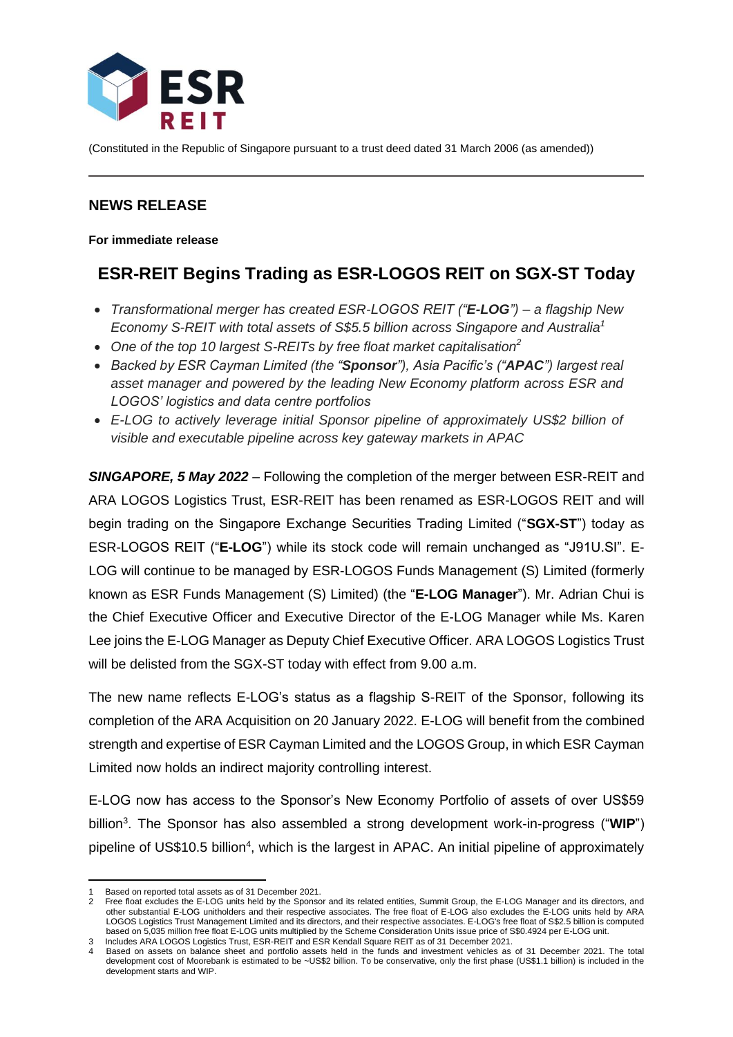

(Constituted in the Republic of Singapore pursuant to a trust deed dated 31 March 2006 (as amended))

# **NEWS RELEASE**

**For immediate release**

# **ESR-REIT Begins Trading as ESR-LOGOS REIT on SGX-ST Today**

- *Transformational merger has created ESR-LOGOS REIT ("E-LOG") – a flagship New Economy S-REIT with total assets of S\$5.5 billion across Singapore and Australia<sup>1</sup>*
- *One of the top 10 largest S-REITs by free float market capitalisation<sup>2</sup>*
- *Backed by ESR Cayman Limited (the "Sponsor"), Asia Pacific's ("APAC") largest real asset manager and powered by the leading New Economy platform across ESR and LOGOS' logistics and data centre portfolios*
- *E-LOG to actively leverage initial Sponsor pipeline of approximately US\$2 billion of visible and executable pipeline across key gateway markets in APAC*

*SINGAPORE, 5 May 2022* – Following the completion of the merger between ESR-REIT and ARA LOGOS Logistics Trust, ESR-REIT has been renamed as ESR-LOGOS REIT and will begin trading on the Singapore Exchange Securities Trading Limited ("**SGX-ST**") today as ESR-LOGOS REIT ("**E-LOG**") while its stock code will remain unchanged as "J91U.SI". E-LOG will continue to be managed by ESR-LOGOS Funds Management (S) Limited (formerly known as ESR Funds Management (S) Limited) (the "**E-LOG Manager**"). Mr. Adrian Chui is the Chief Executive Officer and Executive Director of the E-LOG Manager while Ms. Karen Lee joins the E-LOG Manager as Deputy Chief Executive Officer. ARA LOGOS Logistics Trust will be delisted from the SGX-ST today with effect from 9.00 a.m.

The new name reflects E-LOG's status as a flagship S-REIT of the Sponsor, following its completion of the ARA Acquisition on 20 January 2022. E-LOG will benefit from the combined strength and expertise of ESR Cayman Limited and the LOGOS Group, in which ESR Cayman Limited now holds an indirect majority controlling interest.

E-LOG now has access to the Sponsor's New Economy Portfolio of assets of over US\$59 billion<sup>3</sup>. The Sponsor has also assembled a strong development work-in-progress ("WIP") pipeline of US\$10.5 billion<sup>4</sup>, which is the largest in APAC. An initial pipeline of approximately

Based on reported total assets as of 31 December 2021.

<sup>2</sup> Free float excludes the E-LOG units held by the Sponsor and its related entities, Summit Group, the E-LOG Manager and its directors, and other substantial E-LOG unitholders and their respective associates. The free float of E-LOG also excludes the E-LOG units held by ARA LOGOS Logistics Trust Management Limited and its directors, and their respective associates. E-LOG's free float of S\$2.5 billion is computed based on 5,035 million free float E-LOG units multiplied by the Scheme Consideration Units issue price of S\$0.4924 per E-LOG unit. Includes ARA LOGOS Logistics Trust, ESR-REIT and ESR Kendall Square REIT as of 31 December 2021.

<sup>4</sup> Based on assets on balance sheet and portfolio assets held in the funds and investment vehicles as of 31 December 2021. The total development cost of Moorebank is estimated to be ~US\$2 billion. To be conservative, only the first phase (US\$1.1 billion) is included in the development starts and WIP.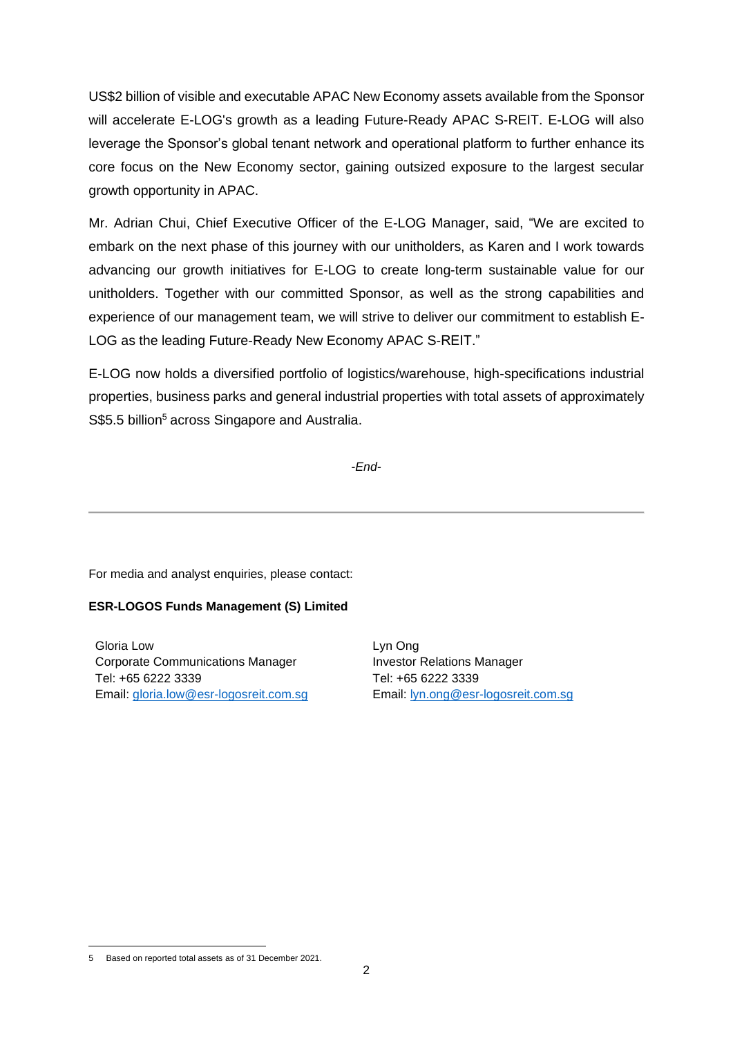US\$2 billion of visible and executable APAC New Economy assets available from the Sponsor will accelerate E-LOG's growth as a leading Future-Ready APAC S-REIT. E-LOG will also leverage the Sponsor's global tenant network and operational platform to further enhance its core focus on the New Economy sector, gaining outsized exposure to the largest secular growth opportunity in APAC.

Mr. Adrian Chui, Chief Executive Officer of the E-LOG Manager, said, "We are excited to embark on the next phase of this journey with our unitholders, as Karen and I work towards advancing our growth initiatives for E-LOG to create long-term sustainable value for our unitholders. Together with our committed Sponsor, as well as the strong capabilities and experience of our management team, we will strive to deliver our commitment to establish E-LOG as the leading Future-Ready New Economy APAC S-REIT."

E-LOG now holds a diversified portfolio of logistics/warehouse, high-specifications industrial properties, business parks and general industrial properties with total assets of approximately S\$5.5 billion<sup>5</sup> across Singapore and Australia.

*-End-*

For media and analyst enquiries, please contact:

## **ESR-LOGOS Funds Management (S) Limited**

Gloria Low Corporate Communications Manager Tel: +65 6222 3339 Email: [gloria.low@esr-logosreit.com.sg](mailto:gloria.low@esr-logosreit.com.sg) Lyn Ong Investor Relations Manager Tel: +65 6222 3339 Email: [lyn.ong@esr-logosreit.com.sg](mailto:lyn.ong@esr-logosreit.com.sg)

<sup>5</sup> Based on reported total assets as of 31 December 2021.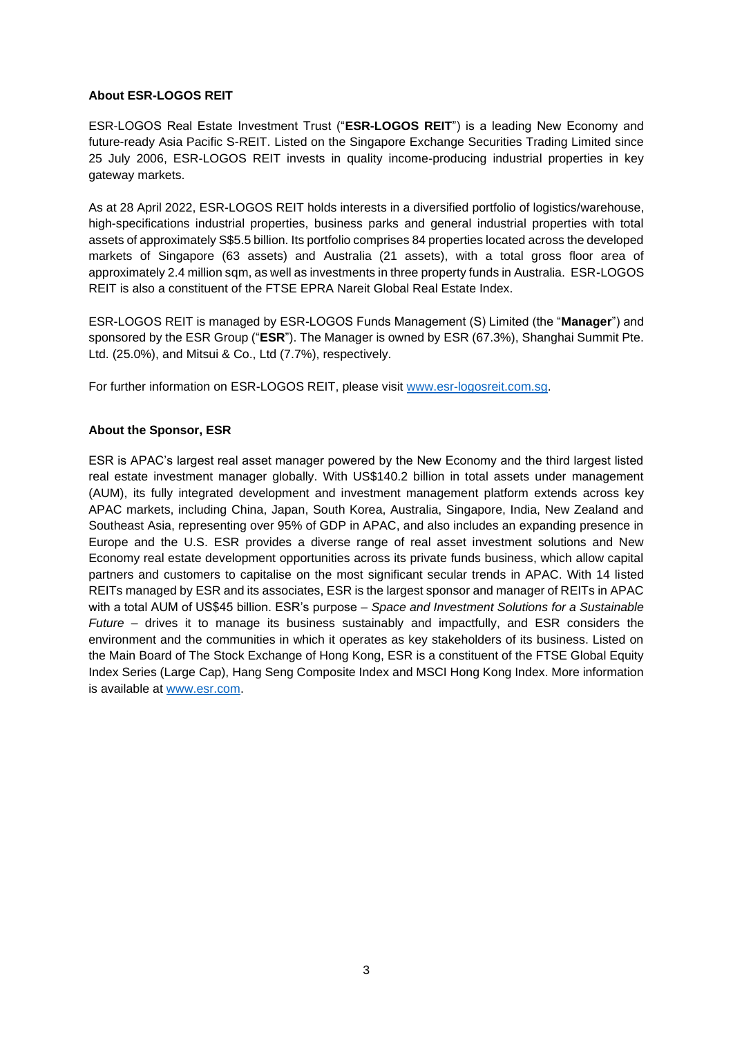#### **About ESR-LOGOS REIT**

ESR-LOGOS Real Estate Investment Trust ("**ESR-LOGOS REIT**") is a leading New Economy and future-ready Asia Pacific S-REIT. Listed on the Singapore Exchange Securities Trading Limited since 25 July 2006, ESR-LOGOS REIT invests in quality income-producing industrial properties in key gateway markets.

As at 28 April 2022, ESR-LOGOS REIT holds interests in a diversified portfolio of logistics/warehouse, high-specifications industrial properties, business parks and general industrial properties with total assets of approximately S\$5.5 billion. Its portfolio comprises 84 properties located across the developed markets of Singapore (63 assets) and Australia (21 assets), with a total gross floor area of approximately 2.4 million sqm, as well as investments in three property funds in Australia. ESR-LOGOS REIT is also a constituent of the FTSE EPRA Nareit Global Real Estate Index.

ESR-LOGOS REIT is managed by ESR-LOGOS Funds Management (S) Limited (the "**Manager**") and sponsored by the ESR Group ("**ESR**"). The Manager is owned by ESR (67.3%), Shanghai Summit Pte. Ltd. (25.0%), and Mitsui & Co., Ltd (7.7%), respectively.

For further information on ESR-LOGOS REIT, please visit [www.esr-logosreit.com.sg.](http://www.esr-logosreit.com.sg/)

## **About the Sponsor, ESR**

ESR is APAC's largest real asset manager powered by the New Economy and the third largest listed real estate investment manager globally. With US\$140.2 billion in total assets under management (AUM), its fully integrated development and investment management platform extends across key APAC markets, including China, Japan, South Korea, Australia, Singapore, India, New Zealand and Southeast Asia, representing over 95% of GDP in APAC, and also includes an expanding presence in Europe and the U.S. ESR provides a diverse range of real asset investment solutions and New Economy real estate development opportunities across its private funds business, which allow capital partners and customers to capitalise on the most significant secular trends in APAC. With 14 listed REITs managed by ESR and its associates, ESR is the largest sponsor and manager of REITs in APAC with a total AUM of US\$45 billion. ESR's purpose – *Space and Investment Solutions for a Sustainable Future* – drives it to manage its business sustainably and impactfully, and ESR considers the environment and the communities in which it operates as key stakeholders of its business. Listed on the Main Board of The Stock Exchange of Hong Kong, ESR is a constituent of the FTSE Global Equity Index Series (Large Cap), Hang Seng Composite Index and MSCI Hong Kong Index. More information is available at [www.esr.com.](http://www.esr.com/)